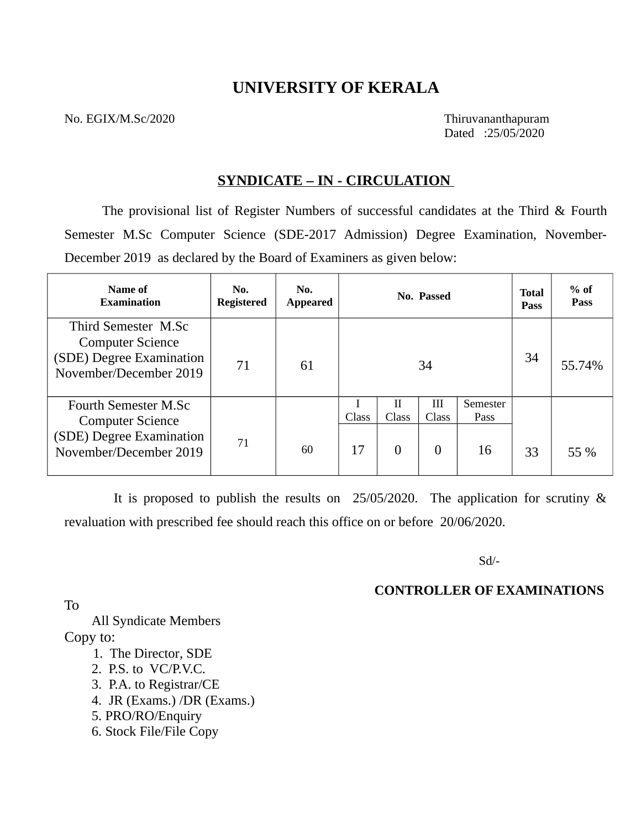# **UNIVERSITY OF KERALA**

No. EGIX/M.Sc/2020 Thiruvananthapuram

Dated :25/05/2020

### **SYNDICATE – IN - CIRCULATION**

The provisional list of Register Numbers of successful candidates at the Third & Fourth Semester M.Sc Computer Science (SDE-2017 Admission) Degree Examination, November-December 2019 as declared by the Board of Examiners as given below:

| Name of<br><b>Examination</b>                                                                         | No.<br><b>Registered</b> | No.<br><b>Appeared</b> |             |                        | No. Passed             |                        | <b>Total</b><br><b>Pass</b> | $%$ of<br><b>Pass</b> |
|-------------------------------------------------------------------------------------------------------|--------------------------|------------------------|-------------|------------------------|------------------------|------------------------|-----------------------------|-----------------------|
| Third Semester M.Sc<br><b>Computer Science</b><br>(SDE) Degree Examination<br>November/December 2019  | 71                       | 61                     |             |                        | 34                     |                        | 34                          | 55.74%                |
| Fourth Semester M.Sc<br><b>Computer Science</b><br>(SDE) Degree Examination<br>November/December 2019 | 71                       | 60                     | Class<br>17 | H<br>Class<br>$\theta$ | Ш<br>Class<br>$\theta$ | Semester<br>Pass<br>16 | 33                          | 55 %                  |

 It is proposed to publish the results on 25/05/2020. The application for scrutiny & revaluation with prescribed fee should reach this office on or before 20/06/2020.

Sd/-

### **CONTROLLER OF EXAMINATIONS**

To

 All Syndicate Members Copy to:

- 1. The Director, SDE
- 2. P.S. to VC/P.V.C.
- 3. P.A. to Registrar/CE
- 4. JR (Exams.) /DR (Exams.)
- 5. PRO/RO/Enquiry
- 6. Stock File/File Copy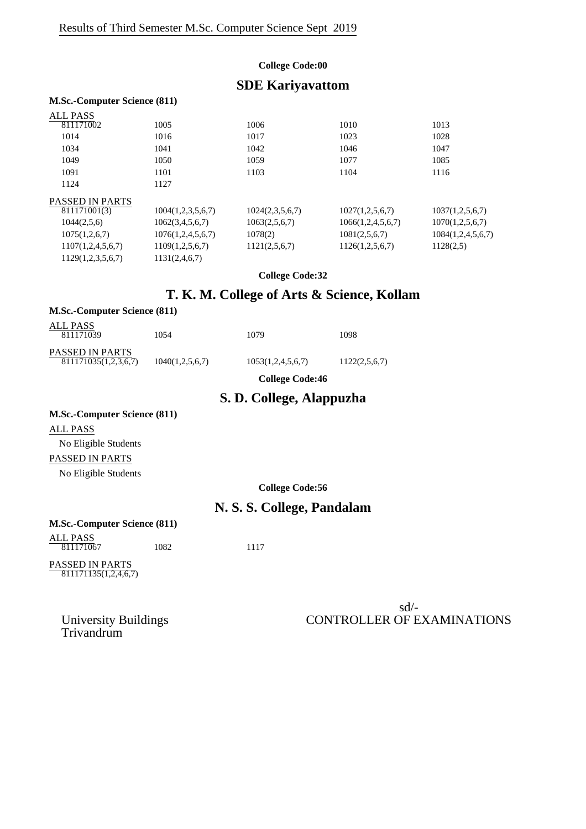#### **College Code:00**

## **SDE Kariyavattom**

#### **M.Sc.-Computer Science (811)**

| ALL PASS               |                   |                 |                   |                   |
|------------------------|-------------------|-----------------|-------------------|-------------------|
| 811171002              | 1005              | 1006            | 1010              | 1013              |
| 1014                   | 1016              | 1017            | 1023              | 1028              |
| 1034                   | 1041              | 1042            | 1046              | 1047              |
| 1049                   | 1050              | 1059            | 1077              | 1085              |
| 1091                   | 1101              | 1103            | 1104              | 1116              |
| 1124                   | 1127              |                 |                   |                   |
| <b>PASSED IN PARTS</b> |                   |                 |                   |                   |
| 811171001(3)           | 1004(1,2,3,5,6,7) | 1024(2,3,5,6,7) | 1027(1,2,5,6,7)   | 1037(1,2,5,6,7)   |
| 1044(2,5,6)            | 1062(3,4,5,6,7)   | 1063(2,5,6,7)   | 1066(1,2,4,5,6,7) | 1070(1,2,5,6,7)   |
| 1075(1,2,6,7)          | 1076(1,2,4,5,6,7) | 1078(2)         | 1081(2,5,6,7)     | 1084(1,2,4,5,6,7) |
| 1107(1,2,4,5,6,7)      | 1109(1,2,5,6,7)   | 1121(2,5,6,7)   | 1126(1,2,5,6,7)   | 1128(2,5)         |
| 1129(1,2,3,5,6,7)      | 1131(2,4,6,7)     |                 |                   |                   |

**College Code:32**

## **T. K. M. College of Arts & Science, Kollam**

| <b>M.Sc.-Computer Science (811)</b>     |                 |                        |               |
|-----------------------------------------|-----------------|------------------------|---------------|
| ALL PASS<br>811171039                   | 1054            | 1079                   | 1098          |
| PASSED IN PARTS<br>811171035(1,2,3,6,7) | 1040(1,2,5,6,7) | 1053(1,2,4,5,6,7)      | 1122(2,5,6,7) |
|                                         |                 | <b>College Code:46</b> |               |

### **S. D. College, Alappuzha**

#### **M.Sc.-Computer Science (811)**

ALL PASS No Eligible Students

### PASSED IN PARTS

No Eligible Students

#### **College Code:56**

## **N. S. S. College, Pandalam**

| <b>M.Sc.-Computer Science (811)</b> |  |  |
|-------------------------------------|--|--|
|-------------------------------------|--|--|

ALL PASS 811171067 1082 1117

PASSED IN PARTS 811171135(1,2,4,6,7)

> sd/- University Buildings CONTROLLER OF EXAMINATIONS

Trivandrum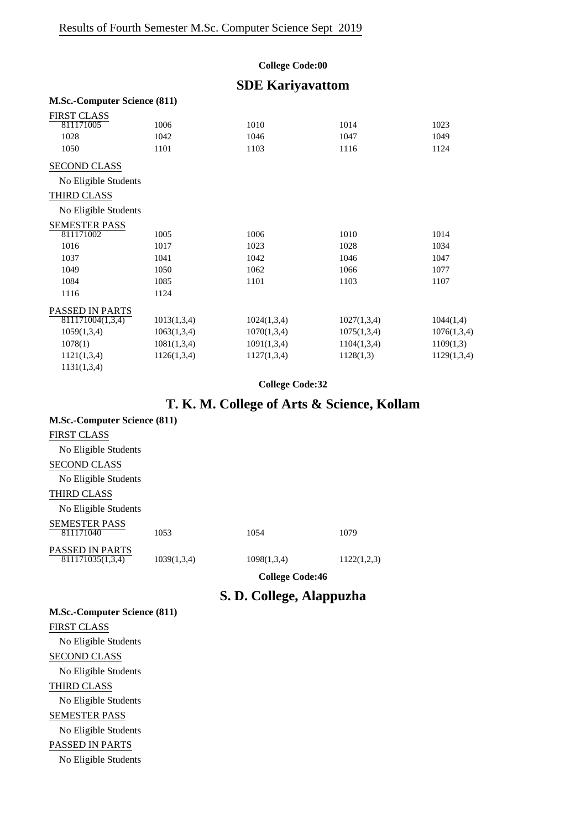### **College Code:00**

## **SDE Kariyavattom**

#### **M.Sc.-Computer Science (811)**

| <b>FIRST CLASS</b>     |             |             |             |             |
|------------------------|-------------|-------------|-------------|-------------|
| 811171005              | 1006        | 1010        | 1014        | 1023        |
| 1028                   | 1042        | 1046        | 1047        | 1049        |
| 1050                   | 1101        | 1103        | 1116        | 1124        |
| <b>SECOND CLASS</b>    |             |             |             |             |
| No Eligible Students   |             |             |             |             |
| THIRD CLASS            |             |             |             |             |
| No Eligible Students   |             |             |             |             |
| <b>SEMESTER PASS</b>   |             |             |             |             |
| 811171002              | 1005        | 1006        | 1010        | 1014        |
| 1016                   | 1017        | 1023        | 1028        | 1034        |
| 1037                   | 1041        | 1042        | 1046        | 1047        |
| 1049                   | 1050        | 1062        | 1066        | 1077        |
| 1084                   | 1085        | 1101        | 1103        | 1107        |
| 1116                   | 1124        |             |             |             |
| <b>PASSED IN PARTS</b> |             |             |             |             |
| 811171004(1,3,4)       | 1013(1,3,4) | 1024(1,3,4) | 1027(1,3,4) | 1044(1,4)   |
| 1059(1,3,4)            | 1063(1,3,4) | 1070(1,3,4) | 1075(1,3,4) | 1076(1,3,4) |
| 1078(1)                | 1081(1,3,4) | 1091(1,3,4) | 1104(1,3,4) | 1109(1,3)   |
| 1121(1,3,4)            | 1126(1,3,4) | 1127(1,3,4) | 1128(1,3)   | 1129(1,3,4) |
| 1131(1,3,4)            |             |             |             |             |

### **College Code:32**

## **T. K. M. College of Arts & Science, Kollam**

| <b>M.Sc.-Computer Science (811)</b>        |             |             |             |
|--------------------------------------------|-------------|-------------|-------------|
| <b>FIRST CLASS</b>                         |             |             |             |
| No Eligible Students                       |             |             |             |
| <b>SECOND CLASS</b>                        |             |             |             |
| No Eligible Students                       |             |             |             |
| <b>THIRD CLASS</b>                         |             |             |             |
| No Eligible Students                       |             |             |             |
| <b>SEMESTER PASS</b><br>811171040          | 1053        | 1054        | 1079        |
| <b>PASSED IN PARTS</b><br>811171035(1,3,4) | 1039(1,3,4) | 1098(1,3,4) | 1122(1,2,3) |

**College Code:46**

## **S. D. College, Alappuzha**

| <b>M.Sc.-Computer Science (811)</b> |
|-------------------------------------|
| <b>FIRST CLASS</b>                  |
| No Eligible Students                |
| <b>SECOND CLASS</b>                 |
| No Eligible Students                |
| <b>THIRD CLASS</b>                  |
| No Eligible Students                |
| <b>SEMESTER PASS</b>                |
| No Eligible Students                |
| PASSED IN PARTS                     |
| No Eligible Students                |